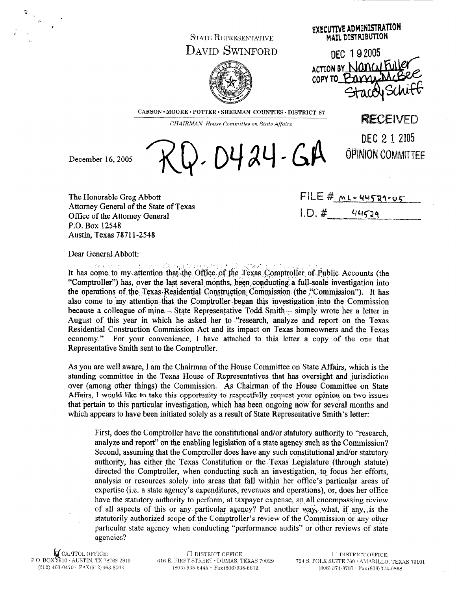## **STATE REPRESENTATIVE** DAVID SWINFORD



**EXECUTIVE ADMINISTRATION MAIL DISTRIBUTION** 

DEC 192005 ACTION BY Nancul Fu COPY TO BUYUL StaceNSC

**RECEIVED** 

DEC 2 1 2005

OPINION COMMITTEE

CARSON · MOORE · POTTER · SHERMAN COUNTIES · DISTRICT 87

CHAIRMAN, House Committee on State Affairs

 $0.0424 - GA$ 

December 16, 2005

The Honorable Greg Abbott Attorney General of the State of Texas Office of the Attorney General P.O. Box 12548 Austin, Texas 78711-2548

 $FILE \# ML-44529-04$  $I.D.$ # 44529

Dear General Abbott:

.<br>Perangan per .<br>Geografia estatutatu est The Contractor It has come to my attention that the Office of the Texas Comptroller of Public Accounts (the "Comptroller") has, over the last several months, been conducting a full-scale investigation into the operations of the Texas Residential Construction Commission (the "Commission"). It has also come to my attention that the Comptroller began this investigation into the Commission because a colleague of mine – State Representative Todd Smith – simply wrote her a letter in August of this year in which he asked her to "research, analyze and report on the Texas Residential Construction Commission Act and its impact on Texas homeowners and the Texas economy." For your convenience, I have attached to this letter a copy of the one that Representative Smith sent to the Comptroller.

As you are well aware, I am the Chairman of the House Committee on State Affairs, which is the standing committee in the Texas House of Representatives that has oversight and jurisdiction over (among other things) the Commission. As Chairman of the House Committee on State Affairs, I would like to take this opportunity to respectfully request your opinion on two issues that pertain to this particular investigation, which has been ongoing now for several months and which appears to have been initiated solely as a result of State Representative Smith's letter:

First, does the Comptroller have the constitutional and/or statutory authority to "research. analyze and report" on the enabling legislation of a state agency such as the Commission? Second, assuming that the Comptroller does have any such constitutional and/or statutory authority, has either the Texas Constitution or the Texas Legislature (through statute) directed the Comptroller, when conducting such an investigation, to focus her efforts, analysis or resources solely into areas that fall within her office's particular areas of expertise (i.e. a state agency's expenditures, revenues and operations), or, does her office have the statutory authority to perform, at taxpayer expense, an all encompassing review of all aspects of this or any particular agency? Put another way, what, if any, is the statutorily authorized scope of the Comptroller's review of the Commission or any other particular state agency when conducting "performance audits" or other reviews of state agencies?

 $\nabla$  CAPITOL OFFICE: P.O. BOX 2910 · AUSTIN, TX 78768-2910  $(512)$  463-0470  $\cdot$  FAX $(512)$  463-8003

**O DISTRICT OFFICE:** 616 E. FIRST STREET · DUMAS, TEXAS 79029  $(806)$  935-5445  $\cdot$  Fax (806) 935-5672

 $\Box$  DISTRICT OFFICE: 724 S. POLK SUITE 760 · AMARILLO, TEXAS 79101  $(806)$  374-8787  $\cdot$  Fax $(806)$  374-0868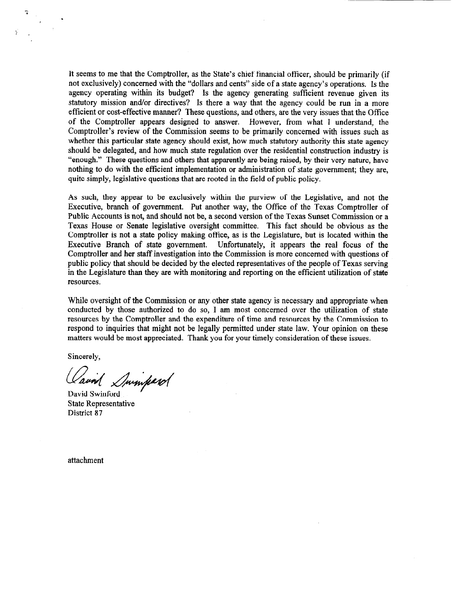It seems to me that the Comptroller, as the State's chief financial officer, should be primarily (if not exclusively) concerned with the "dollars and cents" side of a state agency's operations. Is the agency operating within its budget? Is the agency generating sufficient revenue given its statutory mission and/or directives? Is there a way that the agency could be run in a more efficient or cost-effective manner? These questions, and others, are the very issues that the Office of the Comptroller appears designed to answer. However, from what 1 understand, the Comptroller's review of the Commission seems to be primarily concerned with issues such as whether this particular state agency should exist, how much statutory authority this state agency should be delegated, and how much state regulation over the residential construction industry is "enough." These questions and others that apparently are being raised, by their very nature, have nothing to do with the efficient implementation or administration of state government; they are, quite simply, legislative questions that are rooted in the field of public policy.

As such, they appear to be exclusively within the purview of the Legislative, and not the Executive, branch of government. Put another way, the Office of the Texas Comptroller of Public Accounts is not, and should not be, a second version of the Texas Sunset Commission or a Texas House or Senate legislative oversight committee. This fact should be obvious as the Comptroller is not a state policy making office, as is the Legislature, but is located within the Executive Branch of state government. Unfortunately, it appears the real focus of the Comptroller and her staff investigation into the Commission is more concerned with questions of public policy that should be decided by the elected representatives of the people of Texas serving in the Legislature than they are with monitoring and reporting on the efficient utilization of state resources.

While oversight of the Commission or any other state agency is necessary and appropriate when conducted by those authorized to do so, I am most concerned over the utilization of state resources by the Comptroller and the expenditure of time and resources by the Commission to respond to inquiries that might not be legally permitted under state law. Your opinion on these matters would be most appreciated. Thank you for your timely consideration of these issues.

Sincerely,

.

Cavid Sminperol

State Representative District 87

attachment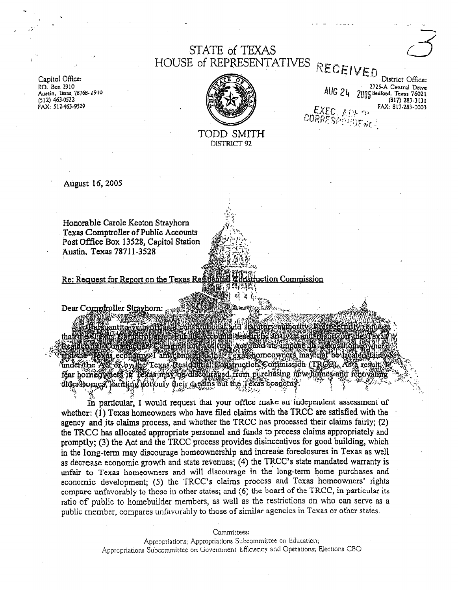## STATE of TEXAS HOUSE of REPRESENTATIVES RECEIVED

Capitol Office: RO. Box 2910 Austin, Texas 78768-2910 (512) 4634522 FAX: 5 12-463-9529

*'I .\** 

*u* 



TODD SMITH DISTRICT 92

District Office: AUG 24 2125-A Central Drive 2005 Bedford, Texas 76021 (817) 283-3131  $\mathsf{F}\texttt{X}\texttt{F}\texttt{F}$  . It is a . FAX: a17.2a3-0003

 $\mathbb{R}$  .

August 16, 2005

Honorable Carole Keeton Strayhorn Texas Comptroller of Public Accounts Post Office Box 13528, Capitol Station Austin, Texas 7871 I-3528

Re: Request for Report on the Texas Res ıction Commission

Dear Comproller Strayhorn:

nd s mts veseare (the Acp) and its impact on. ecomomy/ am concerned thät Texastiomeowijets may not be treated under the Act of by the Texas Residential Construction Commission (TRGC). As a result féar horneolyneis in Téxas may be discouraged from purchasing new homes and fenovating dider homes, harning hotionly their dreams but the Texas cconomy.

In particular, I would request that your office make an independent assessment of whether: (1) Texas homeowners who have filed claims with the TRCC are satisfied with the agency and its claims process, and whether the TRCC has processed their claims fairly; (2) the TRCC has allocated appropriate personnel and funds to process claims appropriately and promptly; (3) the Act and the TRCC process provides disincentives for good building, which in the long-term may discourage homeownership and increase foreclosures in Texas as well as decrease economic growth and state revenues;  $(4)$  the  $TRCC$ 's state mandated warranty is unfair to Texas homeowners and will discourage in the long-term home purchases and economic development; (5) the TRCC's claims process and Texas homeowners' rights compare unfavorably to those in other states; and (6) the board of the TRCC, in particular its ratio of public to homebuilder members, as well as the restrictions on who can serve as a public member, compares unfavorably to those of similar agencies in Texas or other states.

Committees:

Appropriations; Appropriattons Subcommittee on Education; Appropriations Subcommittee on Government Efficiency and Operations; Elections CBO